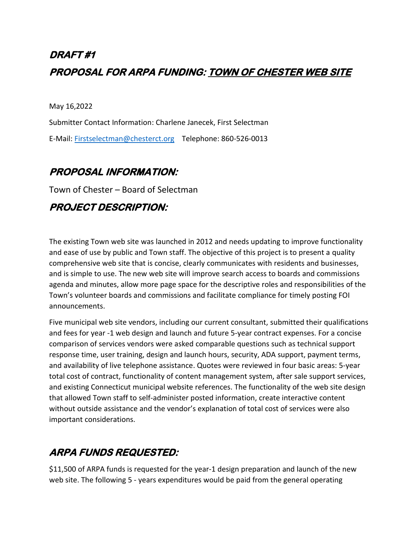# **DRAFT #1 PROPOSAL FOR ARPA FUNDING: TOWN OF CHESTER WEB SITE**

May 16,2022

Submitter Contact Information: Charlene Janecek, First Selectman E-Mail: [Firstselectman@chesterct.org](mailto:Firstselectman@chesterct.org) Telephone: 860-526-0013

#### **PROPOSAL INFORMATION:**

Town of Chester – Board of Selectman

#### **PROJECT DESCRIPTION:**

The existing Town web site was launched in 2012 and needs updating to improve functionality and ease of use by public and Town staff. The objective of this project is to present a quality comprehensive web site that is concise, clearly communicates with residents and businesses, and is simple to use. The new web site will improve search access to boards and commissions agenda and minutes, allow more page space for the descriptive roles and responsibilities of the Town's volunteer boards and commissions and facilitate compliance for timely posting FOI announcements.

Five municipal web site vendors, including our current consultant, submitted their qualifications and fees for year -1 web design and launch and future 5-year contract expenses. For a concise comparison of services vendors were asked comparable questions such as technical support response time, user training, design and launch hours, security, ADA support, payment terms, and availability of live telephone assistance. Quotes were reviewed in four basic areas: 5-year total cost of contract, functionality of content management system, after sale support services, and existing Connecticut municipal website references. The functionality of the web site design that allowed Town staff to self-administer posted information, create interactive content without outside assistance and the vendor's explanation of total cost of services were also important considerations.

## **ARPA FUNDS REQUESTED:**

\$11,500 of ARPA funds is requested for the year-1 design preparation and launch of the new web site. The following 5 - years expenditures would be paid from the general operating